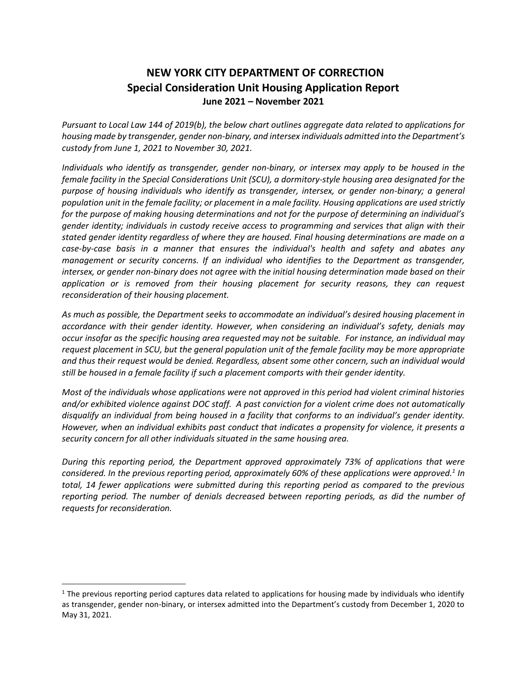## **NEW YORK CITY DEPARTMENT OF CORRECTION Special Consideration Unit Housing Application Report June 2021 – November 2021**

*Pursuant to Local Law 144 of 2019(b), the below chart outlines aggregate data related to applications for housing made by transgender, gender non-binary, and intersex individuals admitted into the Department's custody from June 1, 2021 to November 30, 2021.*

*Individuals who identify as transgender, gender non-binary, or intersex may apply to be housed in the female facility in the Special Considerations Unit (SCU), a dormitory-style housing area designated for the purpose of housing individuals who identify as transgender, intersex, or gender non-binary; a general population unit in the female facility; or placement in a male facility. Housing applications are used strictly for the purpose of making housing determinations and not for the purpose of determining an individual's gender identity; individuals in custody receive access to programming and services that align with their stated gender identity regardless of where they are housed. Final housing determinations are made on a case-by-case basis in a manner that ensures the individual's health and safety and abates any management or security concerns. If an individual who identifies to the Department as transgender, intersex, or gender non-binary does not agree with the initial housing determination made based on their application or is removed from their housing placement for security reasons, they can request reconsideration of their housing placement.* 

*As much as possible, the Department seeks to accommodate an individual's desired housing placement in accordance with their gender identity. However, when considering an individual's safety, denials may occur insofar as the specific housing area requested may not be suitable. For instance, an individual may request placement in SCU, but the general population unit of the female facility may be more appropriate and thus their request would be denied. Regardless, absent some other concern, such an individual would still be housed in a female facility if such a placement comports with their gender identity.*

*Most of the individuals whose applications were not approved in this period had violent criminal histories and/or exhibited violence against DOC staff. A past conviction for a violent crime does not automatically disqualify an individual from being housed in a facility that conforms to an individual's gender identity. However, when an individual exhibits past conduct that indicates a propensity for violence, it presents a security concern for all other individuals situated in the same housing area.*

*During this reporting period, the Department approved approximately 73% of applications that were considered. In the previous reporting period, approximately 60% of these applications were approved.<sup>1</sup> In total, 14 fewer applications were submitted during this reporting period as compared to the previous reporting period. The number of denials decreased between reporting periods, as did the number of requests for reconsideration.*

 $\overline{a}$ 

 $1$  The previous reporting period captures data related to applications for housing made by individuals who identify as transgender, gender non-binary, or intersex admitted into the Department's custody from December 1, 2020 to May 31, 2021.